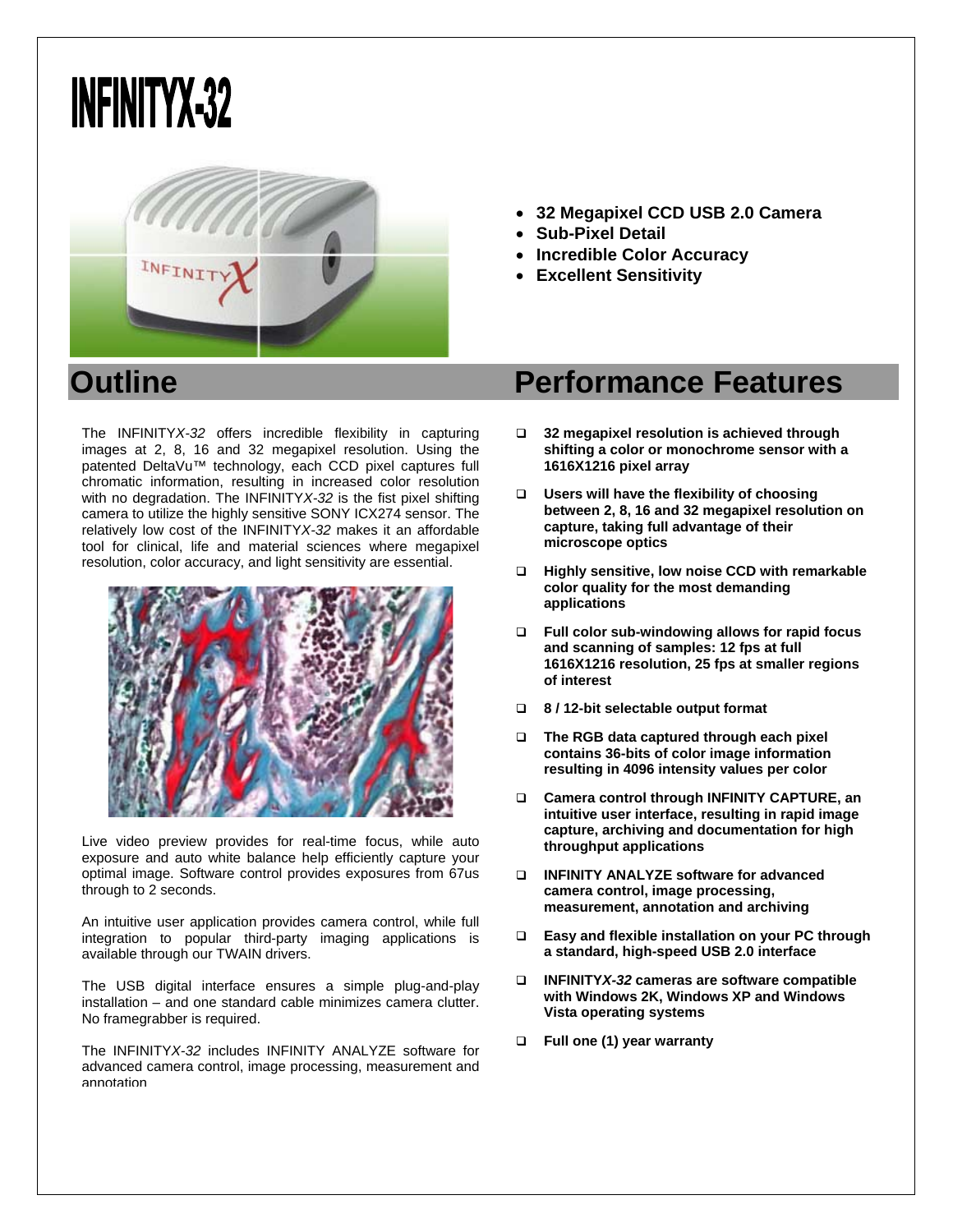## **INFINITYX-32**



- **32 Megapixel CCD USB 2.0 Camera**
- **Sub-Pixel Detail**
- **Incredible Color Accuracy**
- **Excellent Sensitivity**

The INFINITY*X-32* offers incredible flexibility in capturing images at 2, 8, 16 and 32 megapixel resolution. Using the patented DeltaVu™ technology, each CCD pixel captures full chromatic information, resulting in increased color resolution with no degradation. The INFINITY*X-32* is the fist pixel shifting camera to utilize the highly sensitive SONY ICX274 sensor. The relatively low cost of the INFINITY*X-32* makes it an affordable tool for clinical, life and material sciences where megapixel resolution, color accuracy, and light sensitivity are essential.



Live video preview provides for real-time focus, while auto exposure and auto white balance help efficiently capture your optimal image. Software control provides exposures from 67us through to 2 seconds.

An intuitive user application provides camera control, while full integration to popular third-party imaging applications is available through our TWAIN drivers.

The USB digital interface ensures a simple plug-and-play installation – and one standard cable minimizes camera clutter. No framegrabber is required.

The INFINITY*X-32* includes INFINITY ANALYZE software for advanced camera control, image processing, measurement and annotation

## **Outline Contract Contract Performance Features**

- **32 megapixel resolution is achieved through shifting a color or monochrome sensor with a 1616X1216 pixel array**
- **Users will have the flexibility of choosing between 2, 8, 16 and 32 megapixel resolution on capture, taking full advantage of their microscope optics**
- **Highly sensitive, low noise CCD with remarkable color quality for the most demanding applications**
- **Full color sub-windowing allows for rapid focus and scanning of samples: 12 fps at full 1616X1216 resolution, 25 fps at smaller regions of interest**
- **8 / 12-bit selectable output format**
- **The RGB data captured through each pixel contains 36-bits of color image information resulting in 4096 intensity values per color**
- **Camera control through INFINITY CAPTURE, an intuitive user interface, resulting in rapid image capture, archiving and documentation for high throughput applications**
- **INFINITY ANALYZE software for advanced camera control, image processing, measurement, annotation and archiving**
- **Easy and flexible installation on your PC through a standard, high-speed USB 2.0 interface**
- **INFINITY***X-32* **cameras are software compatible with Windows 2K, Windows XP and Windows Vista operating systems**
- **Full one (1) year warranty**